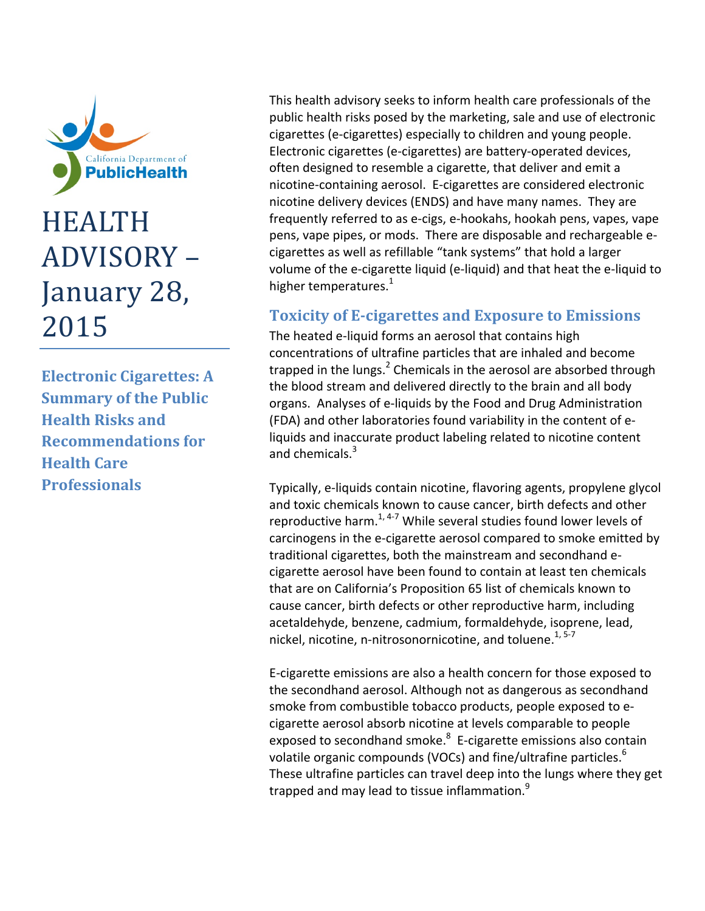

# HEALTH ADVISORY -January 28, 2015

**Electronic Cigarettes: A Summary of the Public Health Risks and Recommendations for Health Care Professionals**

This health advisory seeks to inform health care professionals of the public health risks posed by the marketing, sale and use of electronic cigarettes (e‐cigarettes) especially to children and young people. Electronic cigarettes (e‐cigarettes) are battery‐operated devices, often designed to resemble a cigarette, that deliver and emit a nicotine‐containing aerosol. E‐cigarettes are considered electronic nicotine delivery devices (ENDS) and have many names. They are frequently referred to as e‐cigs, e‐hookahs, hookah pens, vapes, vape pens, vape pipes, or mods. There are disposable and rechargeable e‐ cigarettes as well as refillable "tank systems" that hold a larger volume of the e‐cigarette liquid (e‐liquid) and that heat the e‐liquid to higher temperatures.<sup>1</sup>

## **Toxicity of E‐cigarettes and Exposure to Emissions**

The heated e‐liquid forms an aerosol that contains high concentrations of ultrafine particles that are inhaled and become trapped in the lungs. $<sup>2</sup>$  Chemicals in the aerosol are absorbed through</sup> the blood stream and delivered directly to the brain and all body organs. Analyses of e‐liquids by the Food and Drug Administration (FDA) and other laboratories found variability in the content of e‐ liquids and inaccurate product labeling related to nicotine content and chemicals.<sup>3</sup>

Typically, e‐liquids contain nicotine, flavoring agents, propylene glycol and toxic chemicals known to cause cancer, birth defects and other reproductive harm. $1,4-7$  While several studies found lower levels of carcinogens in the e‐cigarette aerosol compared to smoke emitted by traditional cigarettes, both the mainstream and secondhand e‐ cigarette aerosol have been found to contain at least ten chemicals that are on California's Proposition 65 list of chemicals known to cause cancer, birth defects or other reproductive harm, including acetaldehyde, benzene, cadmium, formaldehyde, isoprene, lead, nickel, nicotine, n-nitrosonornicotine, and toluene.<sup>1, 5-7</sup>

E‐cigarette emissions are also a health concern for those exposed to the secondhand aerosol. Although not as dangerous as secondhand smoke from combustible tobacco products, people exposed to e‐ cigarette aerosol absorb nicotine at levels comparable to people exposed to secondhand smoke.<sup>8</sup> E-cigarette emissions also contain volatile organic compounds (VOCs) and fine/ultrafine particles.<sup>6</sup> These ultrafine particles can travel deep into the lungs where they get trapped and may lead to tissue inflammation.<sup>9</sup>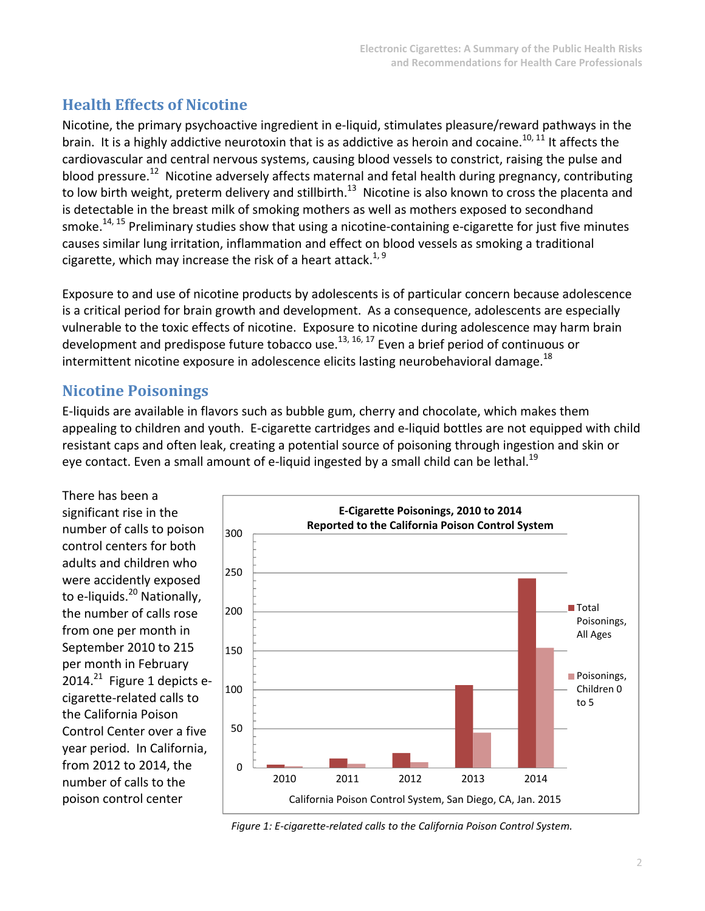## **Health Effects of Nicotine**

Nicotine, the primary psychoactive ingredient in e‐liquid, stimulates pleasure/reward pathways in the brain. It is a highly addictive neurotoxin that is as addictive as heroin and cocaine.<sup>10, 11</sup> It affects the cardiovascular and central nervous systems, causing blood vessels to constrict, raising the pulse and blood pressure.<sup>12</sup> Nicotine adversely affects maternal and fetal health during pregnancy, contributing to low birth weight, preterm delivery and stillbirth.<sup>13</sup> Nicotine is also known to cross the placenta and is detectable in the breast milk of smoking mothers as well as mothers exposed to secondhand smoke.<sup>14, 15</sup> Preliminary studies show that using a nicotine-containing e-cigarette for just five minutes causes similar lung irritation, inflammation and effect on blood vessels as smoking a traditional cigarette, which may increase the risk of a heart attack. $^{1,9}$ 

Exposure to and use of nicotine products by adolescents is of particular concern because adolescence is a critical period for brain growth and development. As a consequence, adolescents are especially vulnerable to the toxic effects of nicotine. Exposure to nicotine during adolescence may harm brain development and predispose future tobacco use.<sup>13, 16, 17</sup> Even a brief period of continuous or intermittent nicotine exposure in adolescence elicits lasting neurobehavioral damage. $^{18}$ 

## **Nicotine Poisonings**

E‐liquids are available in flavors such as bubble gum, cherry and chocolate, which makes them appealing to children and youth. E‐cigarette cartridges and e‐liquid bottles are not equipped with child resistant caps and often leak, creating a potential source of poisoning through ingestion and skin or eye contact. Even a small amount of e-liquid ingested by a small child can be lethal.<sup>19</sup>

There has been a significant rise in the number of calls to poison control centers for both adults and children who were accidently exposed to e-liquids.<sup>20</sup> Nationally, the number of calls rose from one per month in September 2010 to 215 per month in February  $2014.<sup>21</sup>$  Figure 1 depicts ecigarette‐related calls to the California Poison Control Center over a five year period. In California, from 2012 to 2014, the number of calls to the poison control center



*Figure 1: E‐cigarette‐related calls to the California Poison Control System.*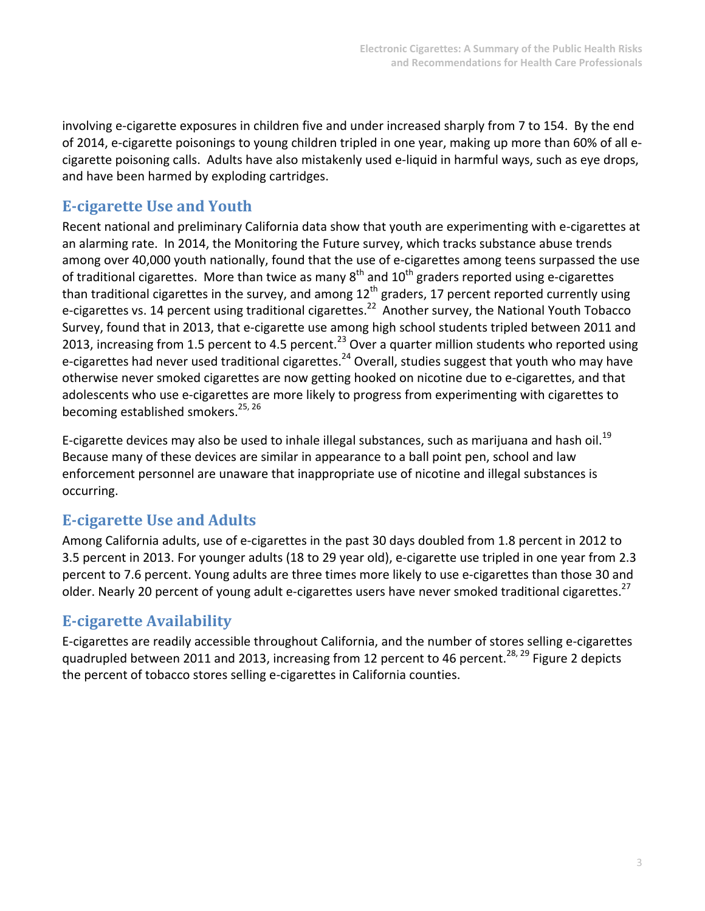involving e-cigarette exposures in children five and under increased sharply from 7 to 154. By the end of 2014, e-cigarette poisonings to young children tripled in one year, making up more than 60% of all ecigarette poisoning calls. Adults have also mistakenly used e‐liquid in harmful ways, such as eye drops, and have been harmed by exploding cartridges.

## **E‐cigarette Use and Youth**

Recent national and preliminary California data show that youth are experimenting with e‐cigarettes at an alarming rate. In 2014, the Monitoring the Future survey, which tracks substance abuse trends among over 40,000 youth nationally, found that the use of e-cigarettes among teens surpassed the use of traditional cigarettes. More than twice as many  $8^{th}$  and  $10^{th}$  graders reported using e-cigarettes than traditional cigarettes in the survey, and among 12<sup>th</sup> graders, 17 percent reported currently using e-cigarettes vs. 14 percent using traditional cigarettes.<sup>22</sup> Another survey, the National Youth Tobacco Survey, found that in 2013, that e‐cigarette use among high school students tripled between 2011 and 2013, increasing from 1.5 percent to 4.5 percent.<sup>23</sup> Over a quarter million students who reported using e-cigarettes had never used traditional cigarettes.<sup>24</sup> Overall, studies suggest that youth who may have otherwise never smoked cigarettes are now getting hooked on nicotine due to e‐cigarettes, and that adolescents who use e‐cigarettes are more likely to progress from experimenting with cigarettes to becoming established smokers.<sup>25, 26</sup>

E-cigarette devices may also be used to inhale illegal substances, such as marijuana and hash oil.<sup>19</sup> Because many of these devices are similar in appearance to a ball point pen, school and law enforcement personnel are unaware that inappropriate use of nicotine and illegal substances is occurring.

## **E‐cigarette Use and Adults**

Among California adults, use of e‐cigarettes in the past 30 days doubled from 1.8 percent in 2012 to 3.5 percent in 2013. For younger adults (18 to 29 year old), e‐cigarette use tripled in one year from 2.3 percent to 7.6 percent. Young adults are three times more likely to use e‐cigarettes than those 30 and older. Nearly 20 percent of young adult e-cigarettes users have never smoked traditional cigarettes.<sup>27</sup>

### **E‐cigarette Availability**

E‐cigarettes are readily accessible throughout California, and the number of stores selling e‐cigarettes quadrupled between 2011 and 2013, increasing from 12 percent to 46 percent.<sup>28, 29</sup> Figure 2 depicts the percent of tobacco stores selling e‐cigarettes in California counties.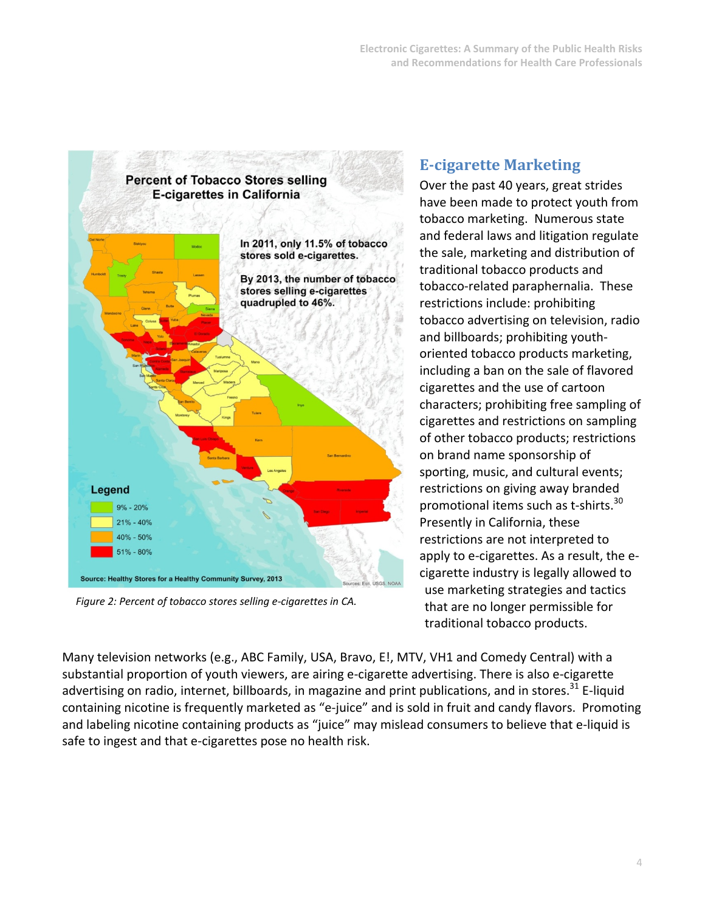

*Figure 2: Percent of tobacco stores selling e‐cigarettes in CA.*

## **E‐cigarette Marketing**

Over the past 40 years, great strides have been made to protect youth from tobacco marketing. Numerous state and federal laws and litigation regulate the sale, marketing and distribution of traditional tobacco products and tobacco‐related paraphernalia. These restrictions include: prohibiting tobacco advertising on television, radio and billboards; prohibiting youth‐ oriented tobacco products marketing, including a ban on the sale of flavored cigarettes and the use of cartoon characters; prohibiting free sampling of cigarettes and restrictions on sampling of other tobacco products; restrictions on brand name sponsorship of sporting, music, and cultural events; restrictions on giving away branded promotional items such as t-shirts.<sup>30</sup> Presently in California, these restrictions are not interpreted to apply to e-cigarettes. As a result, the ecigarette industry is legally allowed to use marketing strategies and tactics that are no longer permissible for traditional tobacco products.

Many television networks (e.g., ABC Family, USA, Bravo, E!, MTV, VH1 and Comedy Central) with a substantial proportion of youth viewers, are airing e‐cigarette advertising. There is also e‐cigarette advertising on radio, internet, billboards, in magazine and print publications, and in stores.<sup>31</sup> E-liquid containing nicotine is frequently marketed as "e‐juice" and is sold in fruit and candy flavors. Promoting and labeling nicotine containing products as "juice" may mislead consumers to believe that e-liquid is safe to ingest and that e-cigarettes pose no health risk.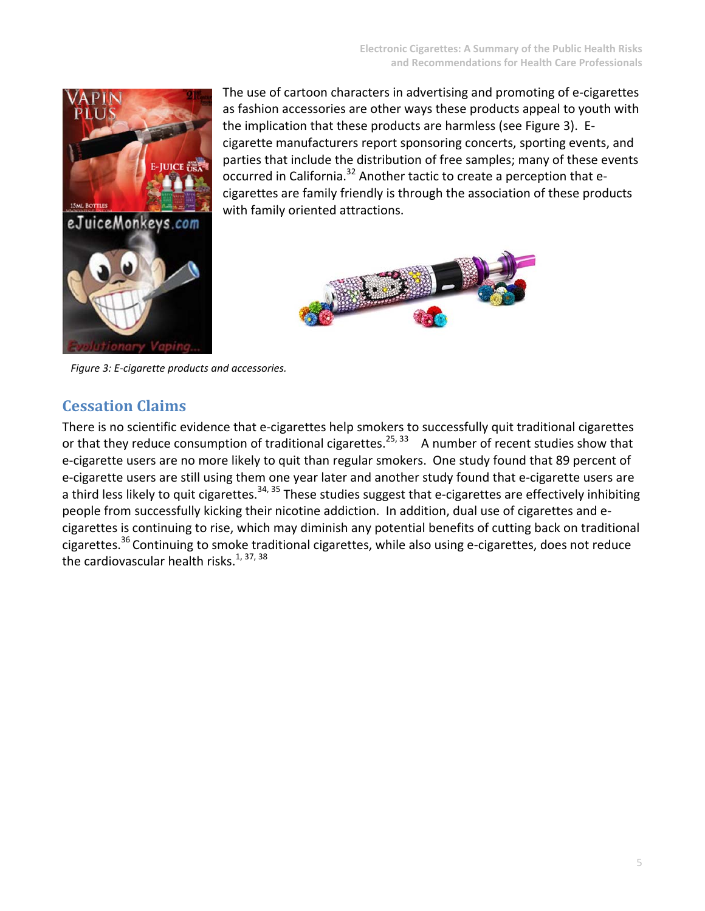

The use of cartoon characters in advertising and promoting of e‐cigarettes as fashion accessories are other ways these products appeal to youth with the implication that these products are harmless (see Figure 3). E‐ cigarette manufacturers report sponsoring concerts, sporting events, and parties that include the distribution of free samples; many of these events occurred in California.<sup>32</sup> Another tactic to create a perception that ecigarettes are family friendly is through the association of these products with family oriented attractions.



*Figure 3: E‐cigarette products and accessories.*

### **Cessation Claims**

There is no scientific evidence that e-cigarettes help smokers to successfully quit traditional cigarettes or that they reduce consumption of traditional cigarettes.<sup>25, 33</sup> A number of recent studies show that e-cigarette users are no more likely to quit than regular smokers. One study found that 89 percent of e-cigarette users are still using them one year later and another study found that e-cigarette users are a third less likely to quit cigarettes.<sup>34, 35</sup> These studies suggest that e-cigarettes are effectively inhibiting people from successfully kicking their nicotine addiction. In addition, dual use of cigarettes and e‐ cigarettes is continuing to rise, which may diminish any potential benefits of cutting back on traditional cigarettes.<sup>36</sup> Continuing to smoke traditional cigarettes, while also using e-cigarettes, does not reduce the cardiovascular health risks. $1, 37, 38$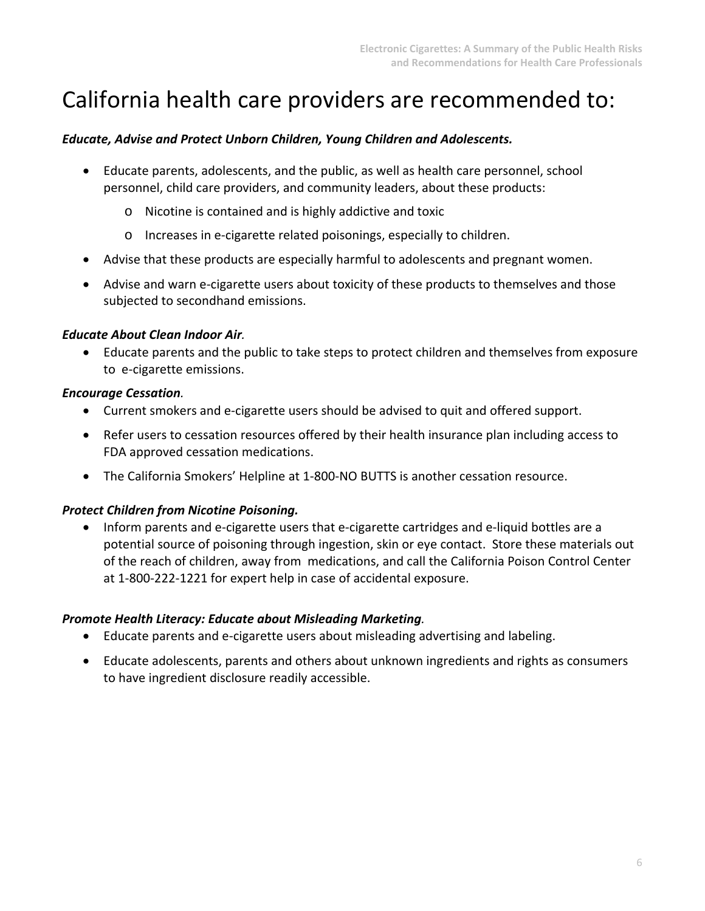## California health care providers are recommended to:

### *Educate, Advise and Protect Unborn Children, Young Children and Adolescents.*

- Educate parents, adolescents, and the public, as well as health care personnel, school personnel, child care providers, and community leaders, about these products:
	- o Nicotine is contained and is highly addictive and toxic
	- o Increases in e‐cigarette related poisonings, especially to children.
- Advise that these products are especially harmful to adolescents and pregnant women.
- Advise and warn e-cigarette users about toxicity of these products to themselves and those subjected to secondhand emissions.

### *Educate About Clean Indoor Air.*

 Educate parents and the public to take steps to protect children and themselves from exposure to e‐cigarette emissions.

### *Encourage Cessation.*

- Current smokers and e-cigarette users should be advised to quit and offered support.
- Refer users to cessation resources offered by their health insurance plan including access to FDA approved cessation medications.
- The California Smokers' Helpline at 1‐800‐NO BUTTS is another cessation resource.

### *Protect Children from Nicotine Poisoning.*

■ Inform parents and e-cigarette users that e-cigarette cartridges and e-liquid bottles are a potential source of poisoning through ingestion, skin or eye contact. Store these materials out of the reach of children, away from medications, and call the California Poison Control Center at 1‐800‐222‐1221 for expert help in case of accidental exposure.

### *Promote Health Literacy: Educate about Misleading Marketing.*

- Educate parents and e-cigarette users about misleading advertising and labeling.
- Educate adolescents, parents and others about unknown ingredients and rights as consumers to have ingredient disclosure readily accessible.